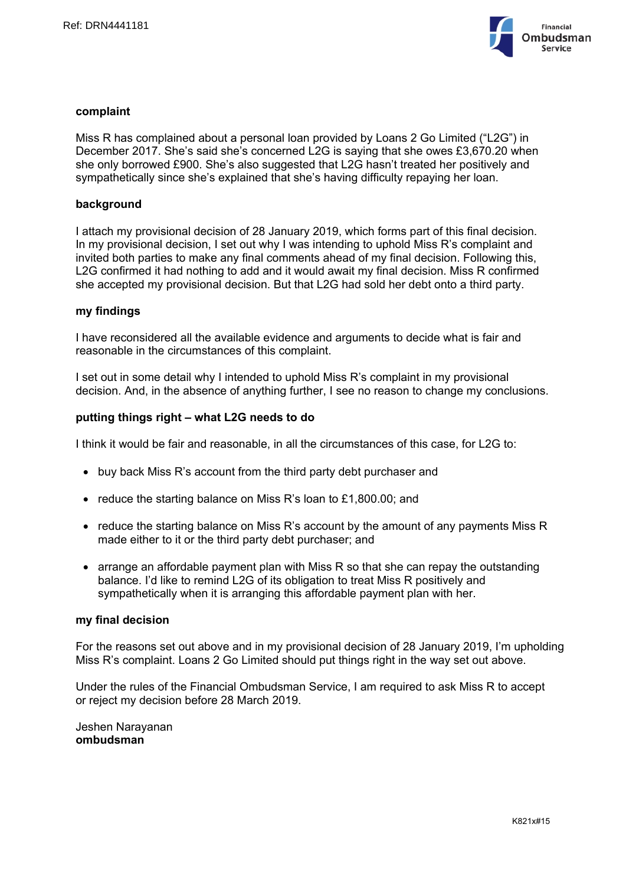

# **complaint**

Miss R has complained about a personal loan provided by Loans 2 Go Limited ("L2G") in December 2017. She's said she's concerned L2G is saying that she owes £3,670.20 when she only borrowed £900. She's also suggested that L2G hasn't treated her positively and sympathetically since she's explained that she's having difficulty repaying her loan.

#### **background**

I attach my provisional decision of 28 January 2019, which forms part of this final decision. In my provisional decision, I set out why I was intending to uphold Miss R's complaint and invited both parties to make any final comments ahead of my final decision. Following this, L2G confirmed it had nothing to add and it would await my final decision. Miss R confirmed she accepted my provisional decision. But that L2G had sold her debt onto a third party.

#### **my findings**

I have reconsidered all the available evidence and arguments to decide what is fair and reasonable in the circumstances of this complaint.

I set out in some detail why I intended to uphold Miss R's complaint in my provisional decision. And, in the absence of anything further, I see no reason to change my conclusions.

#### **putting things right – what L2G needs to do**

I think it would be fair and reasonable, in all the circumstances of this case, for L2G to:

- buy back Miss R's account from the third party debt purchaser and
- reduce the starting balance on Miss R's loan to £1,800,00; and
- reduce the starting balance on Miss R's account by the amount of any payments Miss R made either to it or the third party debt purchaser; and
- $\bullet$  arrange an affordable payment plan with Miss R so that she can repay the outstanding balance. I'd like to remind L2G of its obligation to treat Miss R positively and sympathetically when it is arranging this affordable payment plan with her.

#### **my final decision**

For the reasons set out above and in my provisional decision of 28 January 2019, I'm upholding Miss R's complaint. Loans 2 Go Limited should put things right in the way set out above.

Under the rules of the Financial Ombudsman Service, I am required to ask Miss R to accept or reject my decision before 28 March 2019.

Jeshen Narayanan **ombudsman**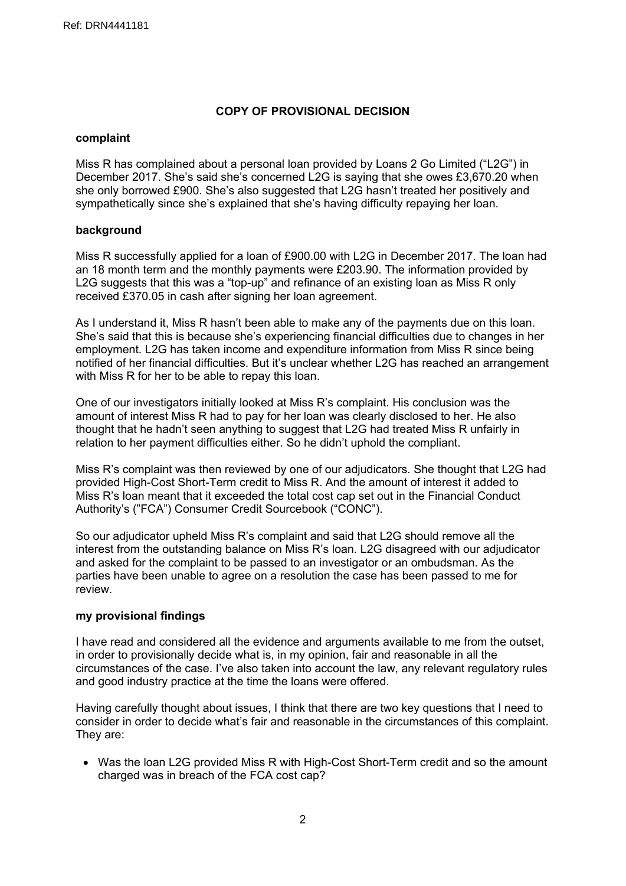# **COPY OF PROVISIONAL DECISION**

# **complaint**

Miss R has complained about a personal loan provided by Loans 2 Go Limited ("L2G") in December 2017. She's said she's concerned L2G is saying that she owes £3,670.20 when she only borrowed £900. She's also suggested that L2G hasn't treated her positively and sympathetically since she's explained that she's having difficulty repaying her loan.

# **background**

Miss R successfully applied for a loan of £900.00 with L2G in December 2017. The loan had an 18 month term and the monthly payments were £203.90. The information provided by L2G suggests that this was a "top-up" and refinance of an existing loan as Miss R only received £370.05 in cash after signing her loan agreement.

As I understand it, Miss R hasn't been able to make any of the payments due on this loan. She's said that this is because she's experiencing financial difficulties due to changes in her employment. L2G has taken income and expenditure information from Miss R since being notified of her financial difficulties. But it's unclear whether L2G has reached an arrangement with Miss R for her to be able to repay this loan.

One of our investigators initially looked at Miss R's complaint. His conclusion was the amount of interest Miss R had to pay for her loan was clearly disclosed to her. He also thought that he hadn't seen anything to suggest that L2G had treated Miss R unfairly in relation to her payment difficulties either. So he didn't uphold the compliant.

Miss R's complaint was then reviewed by one of our adjudicators. She thought that L2G had provided High-Cost Short-Term credit to Miss R. And the amount of interest it added to Miss R's loan meant that it exceeded the total cost cap set out in the Financial Conduct Authority's ("FCA") Consumer Credit Sourcebook ("CONC").

So our adjudicator upheld Miss R's complaint and said that L2G should remove all the interest from the outstanding balance on Miss R's loan. L2G disagreed with our adjudicator and asked for the complaint to be passed to an investigator or an ombudsman. As the parties have been unable to agree on a resolution the case has been passed to me for review.

# **my provisional findings**

I have read and considered all the evidence and arguments available to me from the outset, in order to provisionally decide what is, in my opinion, fair and reasonable in all the circumstances of the case. I've also taken into account the law, any relevant regulatory rules and good industry practice at the time the loans were offered.

Having carefully thought about issues, I think that there are two key questions that I need to consider in order to decide what's fair and reasonable in the circumstances of this complaint. They are:

 Was the loan L2G provided Miss R with High-Cost Short-Term credit and so the amount charged was in breach of the FCA cost cap?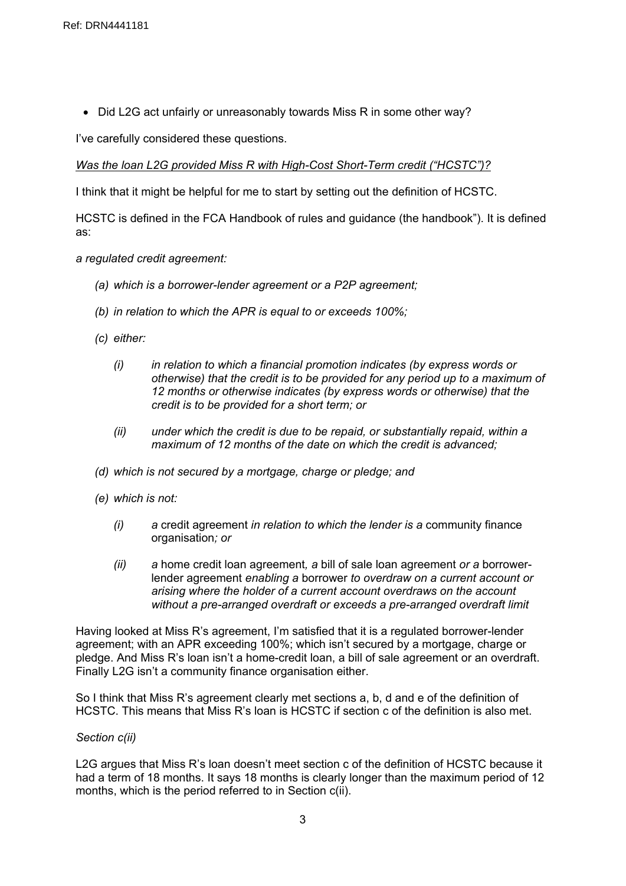• Did L2G act unfairly or unreasonably towards Miss R in some other way?

I've carefully considered these questions.

*Was the loan L2G provided Miss R with High-Cost Short-Term credit ("HCSTC")?*

I think that it might be helpful for me to start by setting out the definition of HCSTC.

HCSTC is defined in the FCA Handbook of rules and guidance (the handbook"). It is defined as:

- *a regulated credit [agreement:](https://www.handbook.fca.org.uk/handbook/glossary/G3184.html)*
	- *(a) which is a [borrower-lender](https://www.handbook.fca.org.uk/handbook/glossary/G3155.html) agreement or a P2P [agreement](https://www.handbook.fca.org.uk/handbook/glossary/G3218.html);*
	- *(b) in relation to which the [APR](https://www.handbook.fca.org.uk/handbook/glossary/G1272.html) is equal to or exceeds 100%;*
	- *(c) either:*
		- *(i) in relation to which a financial [promotion](https://www.handbook.fca.org.uk/handbook/glossary/G421.html) indicates (by express words or otherwise) that the [credit](https://www.handbook.fca.org.uk/handbook/glossary/G238.html) is to be provided for any period up to a maximum of 12 months or otherwise indicates (by express words or otherwise) that the [credit](https://www.handbook.fca.org.uk/handbook/glossary/G238.html) is to be provided for a short term; or*
		- *(ii) under which the [credit](https://www.handbook.fca.org.uk/handbook/glossary/G238.html) is due to be repaid, or substantially repaid, within a maximum of 12 months of the date on which the [credit](https://www.handbook.fca.org.uk/handbook/glossary/G238.html) is advanced;*
	- *(d) which is not secured by a mortgage, charge or pledge; and*
	- *(e) which is not:*
		- *(i) a* credit [agreement](https://www.handbook.fca.org.uk/handbook/glossary/G3163.html) *in relation to which the lender is a* [community](https://www.handbook.fca.org.uk/handbook/glossary/G3366.html) finance [organisation](https://www.handbook.fca.org.uk/handbook/glossary/G3366.html)*; or*
		- *(ii) a* home credit loan [agreement](https://www.handbook.fca.org.uk/handbook/glossary/G3329.html)*, a* bill of sale loan [agreement](https://www.handbook.fca.org.uk/handbook/glossary/G3292.html) *or a* [borrower](https://www.handbook.fca.org.uk/handbook/glossary/G3155.html)lender [agreement](https://www.handbook.fca.org.uk/handbook/glossary/G3155.html) *enabling a* [borrower](https://www.handbook.fca.org.uk/handbook/glossary/G3154.html) *to overdraw on a current account or arising where the holder of a current account overdraws on the account without a pre-arranged overdraft or exceeds a pre-arranged overdraft limit*

Having looked at Miss R's agreement, I'm satisfied that it is a regulated borrower-lender agreement; with an APR exceeding 100%; which isn't secured by a mortgage, charge or pledge. And Miss R's loan isn't a home-credit loan, a bill of sale agreement or an overdraft. Finally L2G isn't a community finance organisation either.

So I think that Miss R's agreement clearly met sections a, b, d and e of the definition of HCSTC. This means that Miss R's loan is HCSTC if section c of the definition is also met.

# *Section c(ii)*

L2G argues that Miss R's loan doesn't meet section c of the definition of HCSTC because it had a term of 18 months. It says 18 months is clearly longer than the maximum period of 12 months, which is the period referred to in Section c(ii).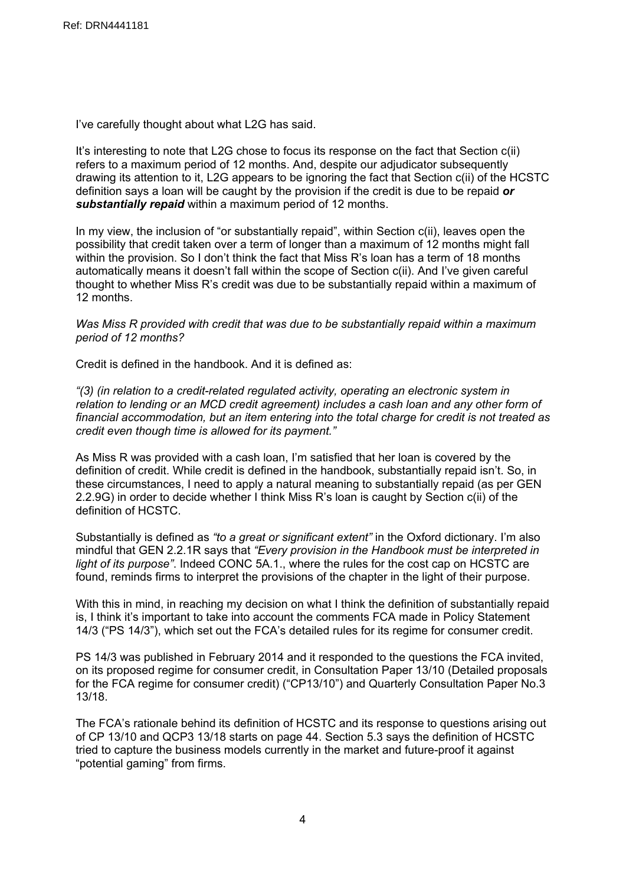I've carefully thought about what L2G has said.

It's interesting to note that L2G chose to focus its response on the fact that Section c(ii) refers to a maximum period of 12 months. And, despite our adjudicator subsequently drawing its attention to it, L2G appears to be ignoring the fact that Section c(ii) of the HCSTC definition says a loan will be caught by the provision if the credit is due to be repaid *or substantially repaid* within a maximum period of 12 months.

In my view, the inclusion of "or substantially repaid", within Section c(ii), leaves open the possibility that credit taken over a term of longer than a maximum of 12 months might fall within the provision. So I don't think the fact that Miss R's loan has a term of 18 months automatically means it doesn't fall within the scope of Section c(ii). And I've given careful thought to whether Miss R's credit was due to be substantially repaid within a maximum of 12 months.

*Was Miss R provided with credit that was due to be substantially repaid within a maximum period of 12 months?*

Credit is defined in the handbook. And it is defined as:

*"(3) (in relation to a [credit-related](https://www.handbook.fca.org.uk/handbook/glossary/G3201.html) regulated activity, operating an [electronic](https://www.handbook.fca.org.uk/handbook/glossary/G3215.html) system in [relation](https://www.handbook.fca.org.uk/handbook/glossary/G3215.html) to lending or an MCD credit [agreement\)](https://www.handbook.fca.org.uk/handbook/glossary/G3509.html) includes a cash loan and any other form of financial accommodation, but an item entering into the total [charge](https://www.handbook.fca.org.uk/handbook/glossary/G1337.html) for credit is not treated as credit even though time is allowed for its payment."*

As Miss R was provided with a cash loan, I'm satisfied that her loan is covered by the definition of credit. While credit is defined in the handbook, substantially repaid isn't. So, in these circumstances, I need to apply a natural meaning to substantially repaid (as per GEN 2.2.9G) in order to decide whether I think Miss R's loan is caught by Section c(ii) of the definition of HCSTC.

Substantially is defined as *"to a great or significant extent"* in the Oxford dictionary. I'm also mindful that GEN 2.2.1R says that *"Every provision in the Handbook must be interpreted in light of its purpose"*. Indeed CONC 5A.1., where the rules for the cost cap on HCSTC are found, reminds firms to interpret the provisions of the chapter in the light of their purpose.

With this in mind, in reaching my decision on what I think the definition of substantially repaid is, I think it's important to take into account the comments FCA made in Policy Statement 14/3 ("PS 14/3"), which set out the FCA's detailed rules for its regime for consumer credit.

PS 14/3 was published in February 2014 and it responded to the questions the FCA invited, on its proposed regime for consumer credit, in Consultation Paper 13/10 (Detailed proposals for the FCA regime for consumer credit) ("CP13/10") and Quarterly Consultation Paper No.3 13/18.

The FCA's rationale behind its definition of HCSTC and its response to questions arising out of CP 13/10 and QCP3 13/18 starts on page 44. Section 5.3 says the definition of HCSTC tried to capture the business models currently in the market and future-proof it against "potential gaming" from firms.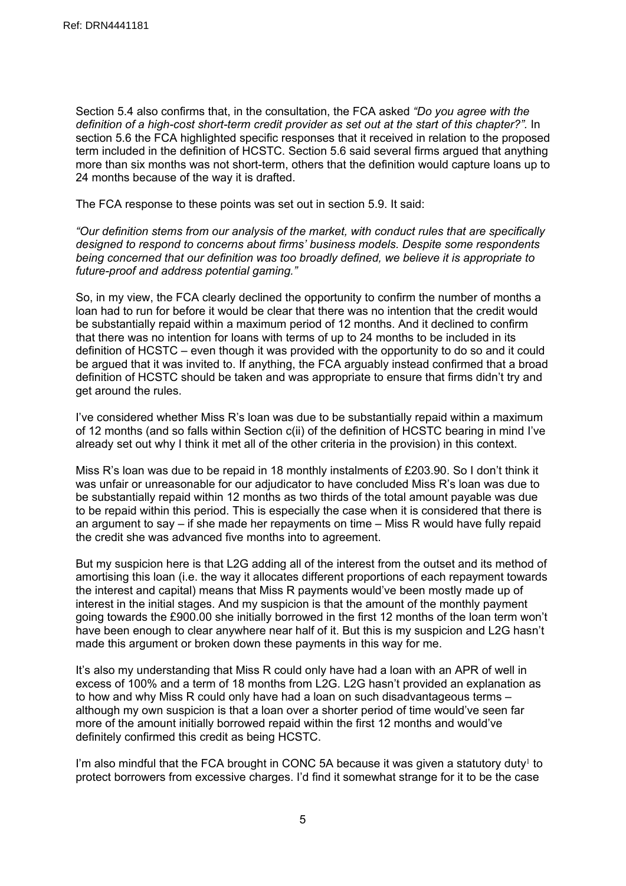Section 5.4 also confirms that, in the consultation, the FCA asked *"Do you agree with the definition of a high-cost short-term credit provider as set out at the start of this chapter?".* In section 5.6 the FCA highlighted specific responses that it received in relation to the proposed term included in the definition of HCSTC. Section 5.6 said several firms argued that anything more than six months was not short-term, others that the definition would capture loans up to 24 months because of the way it is drafted.

The FCA response to these points was set out in section 5.9. It said:

*"Our definition stems from our analysis of the market, with conduct rules that are specifically designed to respond to concerns about firms' business models. Despite some respondents being concerned that our definition was too broadly defined, we believe it is appropriate to future-proof and address potential gaming."*

So, in my view, the FCA clearly declined the opportunity to confirm the number of months a loan had to run for before it would be clear that there was no intention that the credit would be substantially repaid within a maximum period of 12 months. And it declined to confirm that there was no intention for loans with terms of up to 24 months to be included in its definition of HCSTC – even though it was provided with the opportunity to do so and it could be argued that it was invited to. If anything, the FCA arguably instead confirmed that a broad definition of HCSTC should be taken and was appropriate to ensure that firms didn't try and get around the rules.

I've considered whether Miss R's loan was due to be substantially repaid within a maximum of 12 months (and so falls within Section c(ii) of the definition of HCSTC bearing in mind I've already set out why I think it met all of the other criteria in the provision) in this context.

Miss R's loan was due to be repaid in 18 monthly instalments of £203.90. So I don't think it was unfair or unreasonable for our adjudicator to have concluded Miss R's loan was due to be substantially repaid within 12 months as two thirds of the total amount payable was due to be repaid within this period. This is especially the case when it is considered that there is an argument to say – if she made her repayments on time – Miss R would have fully repaid the credit she was advanced five months into to agreement.

But my suspicion here is that L2G adding all of the interest from the outset and its method of amortising this loan (i.e. the way it allocates different proportions of each repayment towards the interest and capital) means that Miss R payments would've been mostly made up of interest in the initial stages. And my suspicion is that the amount of the monthly payment going towards the £900.00 she initially borrowed in the first 12 months of the loan term won't have been enough to clear anywhere near half of it. But this is my suspicion and L2G hasn't made this argument or broken down these payments in this way for me.

It's also my understanding that Miss R could only have had a loan with an APR of well in excess of 100% and a term of 18 months from L2G. L2G hasn't provided an explanation as to how and why Miss R could only have had a loan on such disadvantageous terms – although my own suspicion is that a loan over a shorter period of time would've seen far more of the amount initially borrowed repaid within the first 12 months and would've definitely confirmed this credit as being HCSTC.

I'm also mindful that the FCA brought in CONC 5A because it was given a statutory duty<sup>1</sup> to protect borrowers from excessive charges. I'd find it somewhat strange for it to be the case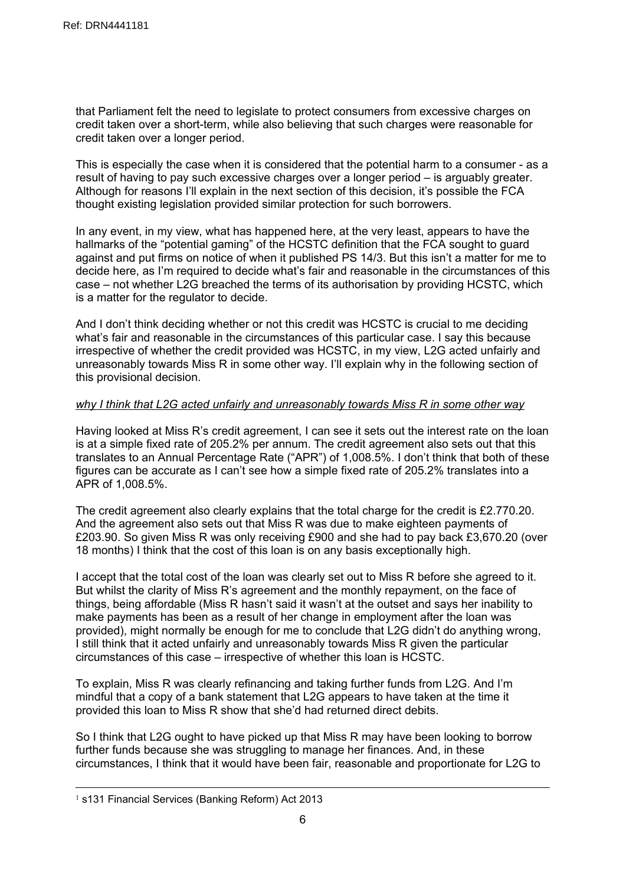that Parliament felt the need to legislate to protect consumers from excessive charges on credit taken over a short-term, while also believing that such charges were reasonable for credit taken over a longer period.

This is especially the case when it is considered that the potential harm to a consumer - as a result of having to pay such excessive charges over a longer period – is arguably greater. Although for reasons I'll explain in the next section of this decision, it's possible the FCA thought existing legislation provided similar protection for such borrowers.

In any event, in my view, what has happened here, at the very least, appears to have the hallmarks of the "potential gaming" of the HCSTC definition that the FCA sought to guard against and put firms on notice of when it published PS 14/3. But this isn't a matter for me to decide here, as I'm required to decide what's fair and reasonable in the circumstances of this case – not whether L2G breached the terms of its authorisation by providing HCSTC, which is a matter for the regulator to decide.

And I don't think deciding whether or not this credit was HCSTC is crucial to me deciding what's fair and reasonable in the circumstances of this particular case. I say this because irrespective of whether the credit provided was HCSTC, in my view, L2G acted unfairly and unreasonably towards Miss R in some other way. I'll explain why in the following section of this provisional decision.

# *why I think that L2G acted unfairly and unreasonably towards Miss R in some other way*

Having looked at Miss R's credit agreement, I can see it sets out the interest rate on the loan is at a simple fixed rate of 205.2% per annum. The credit agreement also sets out that this translates to an Annual Percentage Rate ("APR") of 1,008.5%. I don't think that both of these figures can be accurate as I can't see how a simple fixed rate of 205.2% translates into a APR of 1,008.5%.

The credit agreement also clearly explains that the total charge for the credit is £2.770.20. And the agreement also sets out that Miss R was due to make eighteen payments of £203.90. So given Miss R was only receiving £900 and she had to pay back £3,670.20 (over 18 months) I think that the cost of this loan is on any basis exceptionally high.

I accept that the total cost of the loan was clearly set out to Miss R before she agreed to it. But whilst the clarity of Miss R's agreement and the monthly repayment, on the face of things, being affordable (Miss R hasn't said it wasn't at the outset and says her inability to make payments has been as a result of her change in employment after the loan was provided), might normally be enough for me to conclude that L2G didn't do anything wrong, I still think that it acted unfairly and unreasonably towards Miss R given the particular circumstances of this case – irrespective of whether this loan is HCSTC.

To explain, Miss R was clearly refinancing and taking further funds from L2G. And I'm mindful that a copy of a bank statement that L2G appears to have taken at the time it provided this loan to Miss R show that she'd had returned direct debits.

So I think that L2G ought to have picked up that Miss R may have been looking to borrow further funds because she was struggling to manage her finances. And, in these circumstances, I think that it would have been fair, reasonable and proportionate for L2G to

<sup>&</sup>lt;sup>1</sup> s131 Financial Services (Banking Reform) Act 2013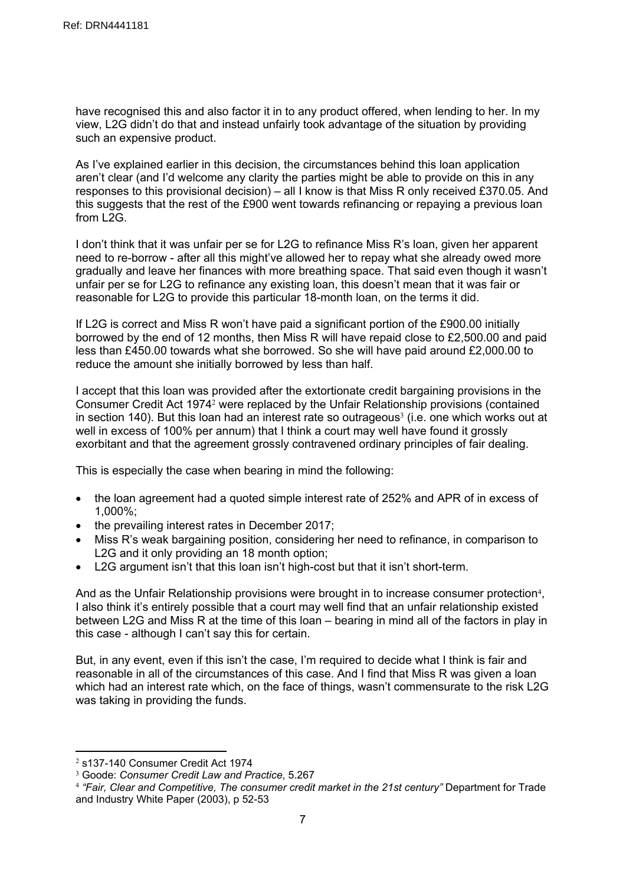have recognised this and also factor it in to any product offered, when lending to her. In my view, L2G didn't do that and instead unfairly took advantage of the situation by providing such an expensive product.

As I've explained earlier in this decision, the circumstances behind this loan application aren't clear (and I'd welcome any clarity the parties might be able to provide on this in any responses to this provisional decision) – all I know is that Miss R only received £370.05. And this suggests that the rest of the £900 went towards refinancing or repaying a previous loan from L2G.

I don't think that it was unfair per se for L2G to refinance Miss R's loan, given her apparent need to re-borrow - after all this might've allowed her to repay what she already owed more gradually and leave her finances with more breathing space. That said even though it wasn't unfair per se for L2G to refinance any existing loan, this doesn't mean that it was fair or reasonable for L2G to provide this particular 18-month loan, on the terms it did.

If L2G is correct and Miss R won't have paid a significant portion of the £900.00 initially borrowed by the end of 12 months, then Miss R will have repaid close to £2,500.00 and paid less than £450.00 towards what she borrowed. So she will have paid around £2,000.00 to reduce the amount she initially borrowed by less than half.

I accept that this loan was provided after the extortionate credit bargaining provisions in the Consumer Credit Act 1974<sup>2</sup> were replaced by the Unfair Relationship provisions (contained in section 140). But this loan had an interest rate so outrageous<sup>3</sup> (i.e. one which works out at well in excess of 100% per annum) that I think a court may well have found it grossly exorbitant and that the agreement grossly contravened ordinary principles of fair dealing.

This is especially the case when bearing in mind the following:

- the loan agreement had a quoted simple interest rate of 252% and APR of in excess of 1,000%;
- $\bullet$  the prevailing interest rates in December 2017;
- Miss R's weak bargaining position, considering her need to refinance, in comparison to L2G and it only providing an 18 month option;
- L2G argument isn't that this loan isn't high-cost but that it isn't short-term.

And as the Unfair Relationship provisions were brought in to increase consumer protection<sup>4</sup>, I also think it's entirely possible that a court may well find that an unfair relationship existed between L2G and Miss R at the time of this loan – bearing in mind all of the factors in play in this case - although I can't say this for certain.

But, in any event, even if this isn't the case, I'm required to decide what I think is fair and reasonable in all of the circumstances of this case. And I find that Miss R was given a loan which had an interest rate which, on the face of things, wasn't commensurate to the risk L2G was taking in providing the funds.

<sup>2</sup> s137-140 Consumer Credit Act 1974

<sup>3</sup> Goode: *Consumer Credit Law and Practice*, 5.267

<sup>4</sup> *"Fair, Clear and Competitive, The consumer credit market in the 21st century"* Department for Trade and Industry White Paper (2003), p 52-53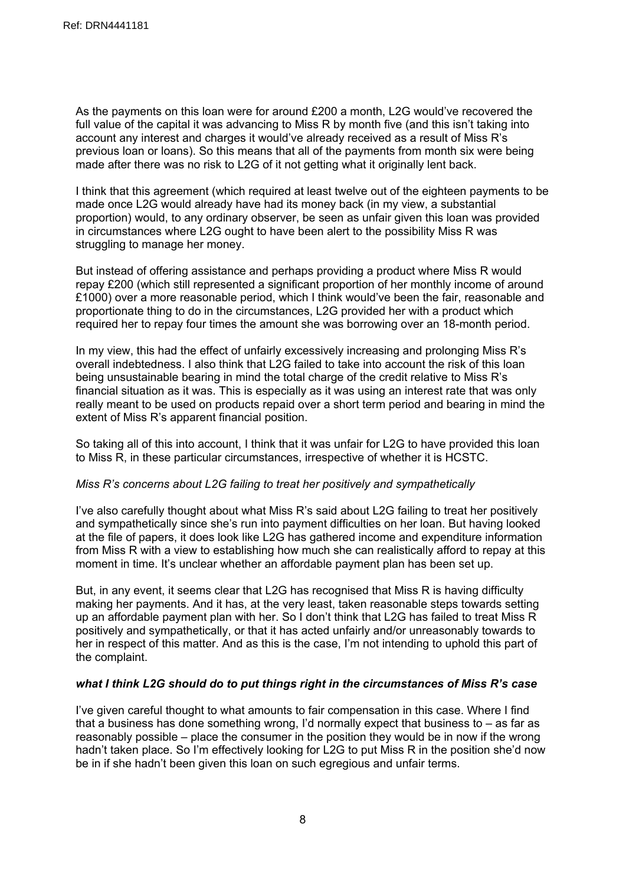As the payments on this loan were for around £200 a month, L2G would've recovered the full value of the capital it was advancing to Miss R by month five (and this isn't taking into account any interest and charges it would've already received as a result of Miss R's previous loan or loans). So this means that all of the payments from month six were being made after there was no risk to L2G of it not getting what it originally lent back.

I think that this agreement (which required at least twelve out of the eighteen payments to be made once L2G would already have had its money back (in my view, a substantial proportion) would, to any ordinary observer, be seen as unfair given this loan was provided in circumstances where L2G ought to have been alert to the possibility Miss R was struggling to manage her money.

But instead of offering assistance and perhaps providing a product where Miss R would repay £200 (which still represented a significant proportion of her monthly income of around £1000) over a more reasonable period, which I think would've been the fair, reasonable and proportionate thing to do in the circumstances, L2G provided her with a product which required her to repay four times the amount she was borrowing over an 18-month period.

In my view, this had the effect of unfairly excessively increasing and prolonging Miss R's overall indebtedness. I also think that L2G failed to take into account the risk of this loan being unsustainable bearing in mind the total charge of the credit relative to Miss R's financial situation as it was. This is especially as it was using an interest rate that was only really meant to be used on products repaid over a short term period and bearing in mind the extent of Miss R's apparent financial position.

So taking all of this into account, I think that it was unfair for L2G to have provided this loan to Miss R, in these particular circumstances, irrespective of whether it is HCSTC.

# *Miss R's concerns about L2G failing to treat her positively and sympathetically*

I've also carefully thought about what Miss R's said about L2G failing to treat her positively and sympathetically since she's run into payment difficulties on her loan. But having looked at the file of papers, it does look like L2G has gathered income and expenditure information from Miss R with a view to establishing how much she can realistically afford to repay at this moment in time. It's unclear whether an affordable payment plan has been set up.

But, in any event, it seems clear that L2G has recognised that Miss R is having difficulty making her payments. And it has, at the very least, taken reasonable steps towards setting up an affordable payment plan with her. So I don't think that L2G has failed to treat Miss R positively and sympathetically, or that it has acted unfairly and/or unreasonably towards to her in respect of this matter. And as this is the case, I'm not intending to uphold this part of the complaint.

# *what I think L2G should do to put things right in the circumstances of Miss R's case*

I've given careful thought to what amounts to fair compensation in this case. Where I find that a business has done something wrong, I'd normally expect that business to – as far as reasonably possible – place the consumer in the position they would be in now if the wrong hadn't taken place. So I'm effectively looking for L2G to put Miss R in the position she'd now be in if she hadn't been given this loan on such egregious and unfair terms.